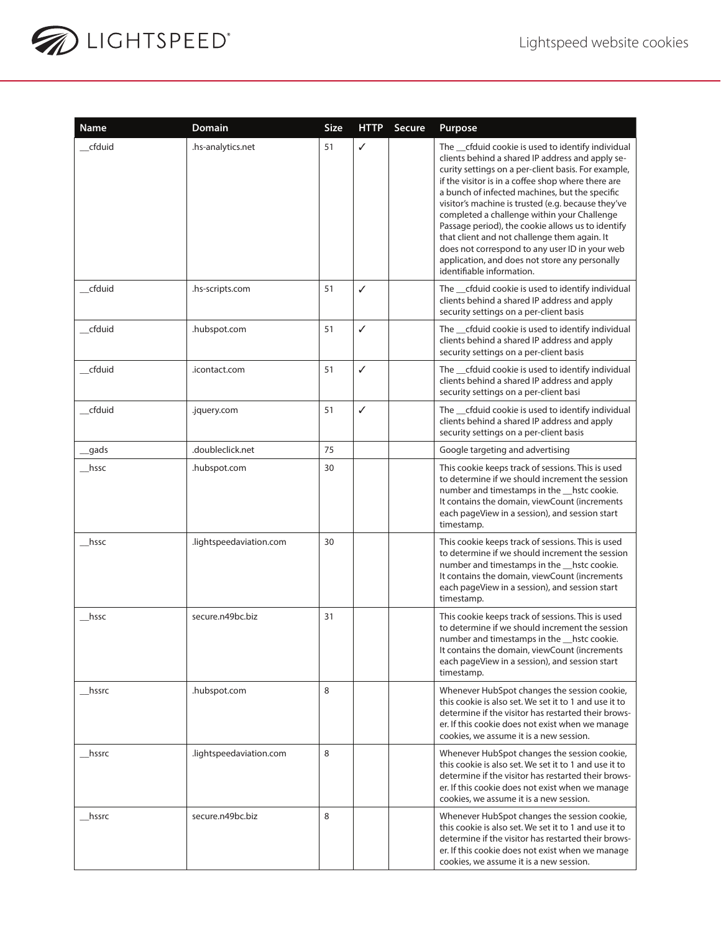

| Name     | <b>Domain</b>           | <b>Size</b> | <b>HTTP</b>  | Secure | Purpose                                                                                                                                                                                                                                                                                                                                                                                                                                                                                                                                                                                                         |
|----------|-------------------------|-------------|--------------|--------|-----------------------------------------------------------------------------------------------------------------------------------------------------------------------------------------------------------------------------------------------------------------------------------------------------------------------------------------------------------------------------------------------------------------------------------------------------------------------------------------------------------------------------------------------------------------------------------------------------------------|
| cfduid   | .hs-analytics.net       | 51          | ✓            |        | The _cfduid cookie is used to identify individual<br>clients behind a shared IP address and apply se-<br>curity settings on a per-client basis. For example,<br>if the visitor is in a coffee shop where there are<br>a bunch of infected machines, but the specific<br>visitor's machine is trusted (e.g. because they've<br>completed a challenge within your Challenge<br>Passage period), the cookie allows us to identify<br>that client and not challenge them again. It<br>does not correspond to any user ID in your web<br>application, and does not store any personally<br>identifiable information. |
| cfduid   | .hs-scripts.com         | 51          | ✓            |        | The _cfduid cookie is used to identify individual<br>clients behind a shared IP address and apply<br>security settings on a per-client basis                                                                                                                                                                                                                                                                                                                                                                                                                                                                    |
| _cfduid  | .hubspot.com            | 51          | ✓            |        | The __cfduid cookie is used to identify individual<br>clients behind a shared IP address and apply<br>security settings on a per-client basis                                                                                                                                                                                                                                                                                                                                                                                                                                                                   |
| _cfduid  | .icontact.com           | 51          | ✓            |        | The __cfduid cookie is used to identify individual<br>clients behind a shared IP address and apply<br>security settings on a per-client basi                                                                                                                                                                                                                                                                                                                                                                                                                                                                    |
| cfduid   | .jquery.com             | 51          | $\checkmark$ |        | The _cfduid cookie is used to identify individual<br>clients behind a shared IP address and apply<br>security settings on a per-client basis                                                                                                                                                                                                                                                                                                                                                                                                                                                                    |
| _gads    | .doubleclick.net        | 75          |              |        | Google targeting and advertising                                                                                                                                                                                                                                                                                                                                                                                                                                                                                                                                                                                |
| $\_hssc$ | .hubspot.com            | 30          |              |        | This cookie keeps track of sessions. This is used<br>to determine if we should increment the session<br>number and timestamps in the hstc cookie.<br>It contains the domain, viewCount (increments<br>each pageView in a session), and session start<br>timestamp.                                                                                                                                                                                                                                                                                                                                              |
| __hssc   | .lightspeedaviation.com | 30          |              |        | This cookie keeps track of sessions. This is used<br>to determine if we should increment the session<br>number and timestamps in the hstc cookie.<br>It contains the domain, viewCount (increments<br>each pageView in a session), and session start<br>timestamp.                                                                                                                                                                                                                                                                                                                                              |
| hssc     | secure.n49bc.biz        | 31          |              |        | This cookie keeps track of sessions. This is used<br>to determine if we should increment the session<br>number and timestamps in the _hstc cookie.<br>It contains the domain, viewCount (increments<br>each pageView in a session), and session start<br>timestamp.                                                                                                                                                                                                                                                                                                                                             |
| __hssrc  | .hubspot.com            | 8           |              |        | Whenever HubSpot changes the session cookie,<br>this cookie is also set. We set it to 1 and use it to<br>determine if the visitor has restarted their brows-<br>er. If this cookie does not exist when we manage<br>cookies, we assume it is a new session.                                                                                                                                                                                                                                                                                                                                                     |
| hssrc    | .lightspeedaviation.com | 8           |              |        | Whenever HubSpot changes the session cookie,<br>this cookie is also set. We set it to 1 and use it to<br>determine if the visitor has restarted their brows-<br>er. If this cookie does not exist when we manage<br>cookies, we assume it is a new session.                                                                                                                                                                                                                                                                                                                                                     |
| _hssrc   | secure.n49bc.biz        | 8           |              |        | Whenever HubSpot changes the session cookie,<br>this cookie is also set. We set it to 1 and use it to<br>determine if the visitor has restarted their brows-<br>er. If this cookie does not exist when we manage<br>cookies, we assume it is a new session.                                                                                                                                                                                                                                                                                                                                                     |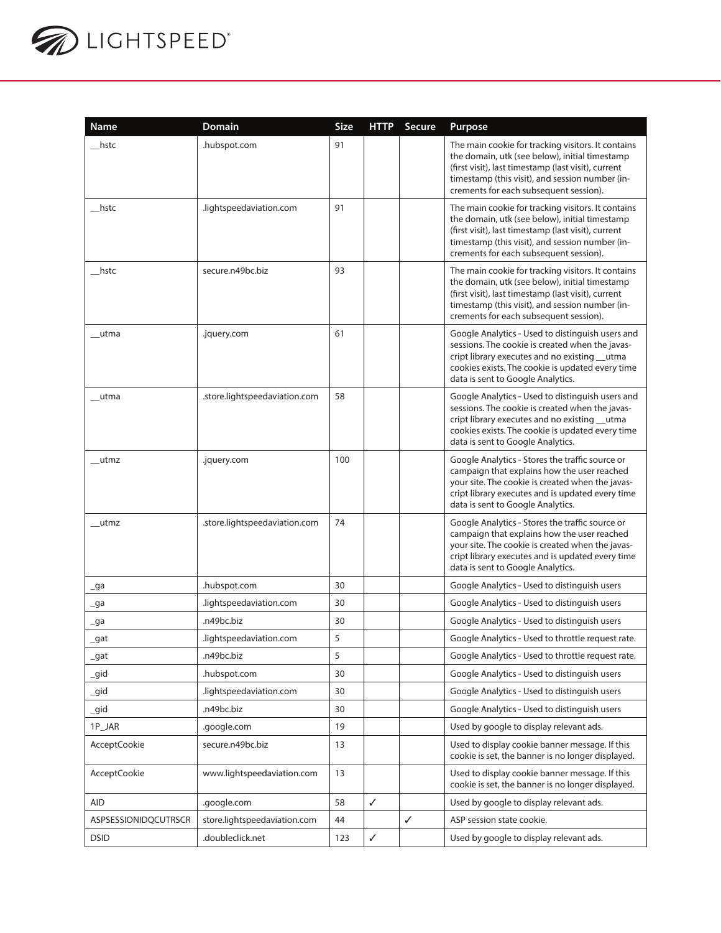

| Name                        | Domain                        | <b>Size</b> | <b>HTTP</b>  | Secure       | Purpose                                                                                                                                                                                                                                                  |
|-----------------------------|-------------------------------|-------------|--------------|--------------|----------------------------------------------------------------------------------------------------------------------------------------------------------------------------------------------------------------------------------------------------------|
| __hstc                      | .hubspot.com                  | 91          |              |              | The main cookie for tracking visitors. It contains<br>the domain, utk (see below), initial timestamp<br>(first visit), last timestamp (last visit), current<br>timestamp (this visit), and session number (in-<br>crements for each subsequent session). |
| hstc                        | .lightspeedaviation.com       | 91          |              |              | The main cookie for tracking visitors. It contains<br>the domain, utk (see below), initial timestamp<br>(first visit), last timestamp (last visit), current<br>timestamp (this visit), and session number (in-<br>crements for each subsequent session). |
| __hstc                      | secure.n49bc.biz              | 93          |              |              | The main cookie for tracking visitors. It contains<br>the domain, utk (see below), initial timestamp<br>(first visit), last timestamp (last visit), current<br>timestamp (this visit), and session number (in-<br>crements for each subsequent session). |
| $_{\_\_\text{utma}}$        | .jquery.com                   | 61          |              |              | Google Analytics - Used to distinguish users and<br>sessions. The cookie is created when the javas-<br>cript library executes and no existing utma<br>cookies exists. The cookie is updated every time<br>data is sent to Google Analytics.              |
| __utma                      | .store.lightspeedaviation.com | 58          |              |              | Google Analytics - Used to distinguish users and<br>sessions. The cookie is created when the javas-<br>cript library executes and no existing __utma<br>cookies exists. The cookie is updated every time<br>data is sent to Google Analytics.            |
| utmz                        | .jquery.com                   | 100         |              |              | Google Analytics - Stores the traffic source or<br>campaign that explains how the user reached<br>your site. The cookie is created when the javas-<br>cript library executes and is updated every time<br>data is sent to Google Analytics.              |
| __utmz                      | .store.lightspeedaviation.com | 74          |              |              | Google Analytics - Stores the traffic source or<br>campaign that explains how the user reached<br>your site. The cookie is created when the javas-<br>cript library executes and is updated every time<br>data is sent to Google Analytics.              |
| $\overline{\phantom{a}}$ ga | .hubspot.com                  | 30          |              |              | Google Analytics - Used to distinguish users                                                                                                                                                                                                             |
| $\_$ ga                     | lightspeedaviation.com.       | 30          |              |              | Google Analytics - Used to distinguish users                                                                                                                                                                                                             |
| $\lrcorner$ ga              | .n49bc.biz                    | 30          |              |              | Google Analytics - Used to distinguish users                                                                                                                                                                                                             |
| $\_gat$                     | lightspeedaviation.com.       | 5           |              |              | Google Analytics - Used to throttle request rate.                                                                                                                                                                                                        |
| _gat                        | .n49bc.biz                    | 5           |              |              | Google Analytics - Used to throttle request rate.                                                                                                                                                                                                        |
| $\_gid$                     | .hubspot.com                  | 30          |              |              | Google Analytics - Used to distinguish users                                                                                                                                                                                                             |
| _gid                        | .lightspeedaviation.com       | 30          |              |              | Google Analytics - Used to distinguish users                                                                                                                                                                                                             |
| _gid                        | .n49bc.biz                    | 30          |              |              | Google Analytics - Used to distinguish users                                                                                                                                                                                                             |
| 1P JAR                      | .google.com                   | 19          |              |              | Used by google to display relevant ads.                                                                                                                                                                                                                  |
| AcceptCookie                | secure.n49bc.biz              | 13          |              |              | Used to display cookie banner message. If this<br>cookie is set, the banner is no longer displayed.                                                                                                                                                      |
| <b>AcceptCookie</b>         | www.lightspeedaviation.com    | 13          |              |              | Used to display cookie banner message. If this<br>cookie is set, the banner is no longer displayed.                                                                                                                                                      |
| <b>AID</b>                  | .google.com                   | 58          | $\checkmark$ |              | Used by google to display relevant ads.                                                                                                                                                                                                                  |
| ASPSESSIONIDQCUTRSCR        | store.lightspeedaviation.com  | 44          |              | $\checkmark$ | ASP session state cookie.                                                                                                                                                                                                                                |
| <b>DSID</b>                 | .doubleclick.net              | 123         | $\checkmark$ |              | Used by google to display relevant ads.                                                                                                                                                                                                                  |